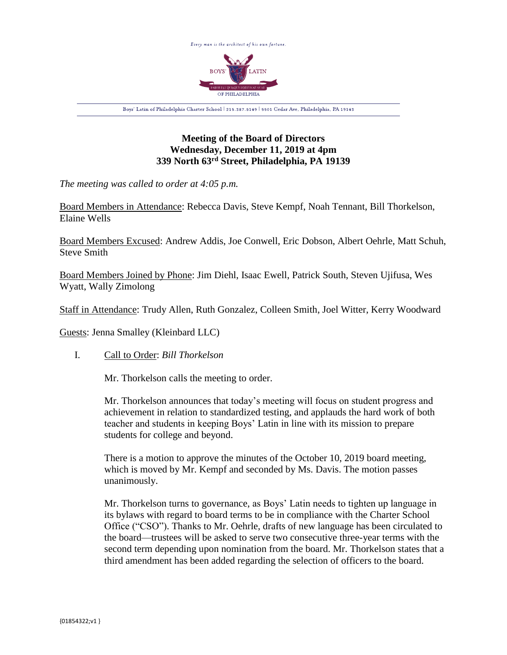

# **Meeting of the Board of Directors Wednesday, December 11, 2019 at 4pm 339 North 63rd Street, Philadelphia, PA 19139**

*The meeting was called to order at 4:05 p.m.*

Board Members in Attendance: Rebecca Davis, Steve Kempf, Noah Tennant, Bill Thorkelson, Elaine Wells

Board Members Excused: Andrew Addis, Joe Conwell, Eric Dobson, Albert Oehrle, Matt Schuh, Steve Smith

Board Members Joined by Phone: Jim Diehl, Isaac Ewell, Patrick South, Steven Ujifusa, Wes Wyatt, Wally Zimolong

Staff in Attendance: Trudy Allen, Ruth Gonzalez, Colleen Smith, Joel Witter, Kerry Woodward

Guests: Jenna Smalley (Kleinbard LLC)

I. Call to Order: *Bill Thorkelson*

Mr. Thorkelson calls the meeting to order.

Mr. Thorkelson announces that today's meeting will focus on student progress and achievement in relation to standardized testing, and applauds the hard work of both teacher and students in keeping Boys' Latin in line with its mission to prepare students for college and beyond.

There is a motion to approve the minutes of the October 10, 2019 board meeting, which is moved by Mr. Kempf and seconded by Ms. Davis. The motion passes unanimously.

Mr. Thorkelson turns to governance, as Boys' Latin needs to tighten up language in its bylaws with regard to board terms to be in compliance with the Charter School Office ("CSO"). Thanks to Mr. Oehrle, drafts of new language has been circulated to the board—trustees will be asked to serve two consecutive three-year terms with the second term depending upon nomination from the board. Mr. Thorkelson states that a third amendment has been added regarding the selection of officers to the board.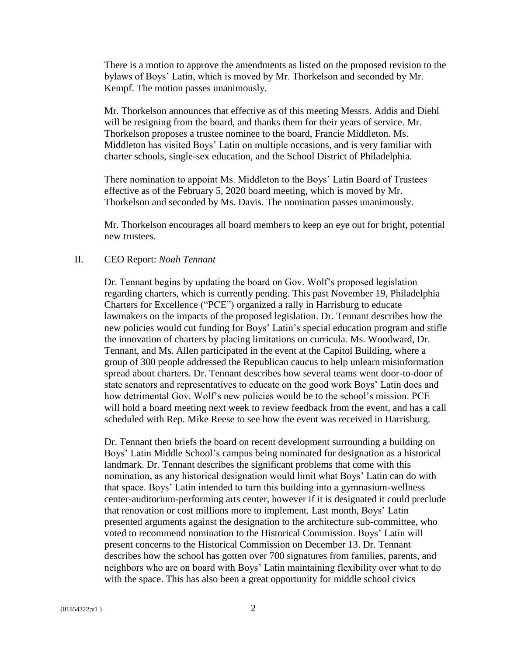There is a motion to approve the amendments as listed on the proposed revision to the bylaws of Boys' Latin, which is moved by Mr. Thorkelson and seconded by Mr. Kempf. The motion passes unanimously.

Mr. Thorkelson announces that effective as of this meeting Messrs. Addis and Diehl will be resigning from the board, and thanks them for their years of service. Mr. Thorkelson proposes a trustee nominee to the board, Francie Middleton. Ms. Middleton has visited Boys' Latin on multiple occasions, and is very familiar with charter schools, single-sex education, and the School District of Philadelphia.

There nomination to appoint Ms. Middleton to the Boys' Latin Board of Trustees effective as of the February 5, 2020 board meeting, which is moved by Mr. Thorkelson and seconded by Ms. Davis. The nomination passes unanimously.

Mr. Thorkelson encourages all board members to keep an eye out for bright, potential new trustees.

## II. CEO Report: *Noah Tennant*

Dr. Tennant begins by updating the board on Gov. Wolf's proposed legislation regarding charters, which is currently pending. This past November 19, Philadelphia Charters for Excellence ("PCE") organized a rally in Harrisburg to educate lawmakers on the impacts of the proposed legislation. Dr. Tennant describes how the new policies would cut funding for Boys' Latin's special education program and stifle the innovation of charters by placing limitations on curricula. Ms. Woodward, Dr. Tennant, and Ms. Allen participated in the event at the Capitol Building, where a group of 300 people addressed the Republican caucus to help unlearn misinformation spread about charters. Dr. Tennant describes how several teams went door-to-door of state senators and representatives to educate on the good work Boys' Latin does and how detrimental Gov. Wolf's new policies would be to the school's mission. PCE will hold a board meeting next week to review feedback from the event, and has a call scheduled with Rep. Mike Reese to see how the event was received in Harrisburg.

Dr. Tennant then briefs the board on recent development surrounding a building on Boys' Latin Middle School's campus being nominated for designation as a historical landmark. Dr. Tennant describes the significant problems that come with this nomination, as any historical designation would limit what Boys' Latin can do with that space. Boys' Latin intended to turn this building into a gymnasium-wellness center-auditorium-performing arts center, however if it is designated it could preclude that renovation or cost millions more to implement. Last month, Boys' Latin presented arguments against the designation to the architecture sub-committee, who voted to recommend nomination to the Historical Commission. Boys' Latin will present concerns to the Historical Commission on December 13. Dr. Tennant describes how the school has gotten over 700 signatures from families, parents, and neighbors who are on board with Boys' Latin maintaining flexibility over what to do with the space. This has also been a great opportunity for middle school civics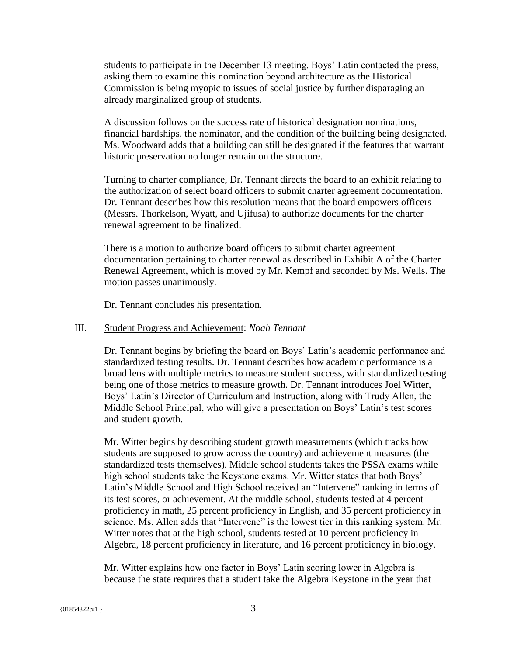students to participate in the December 13 meeting. Boys' Latin contacted the press, asking them to examine this nomination beyond architecture as the Historical Commission is being myopic to issues of social justice by further disparaging an already marginalized group of students.

A discussion follows on the success rate of historical designation nominations, financial hardships, the nominator, and the condition of the building being designated. Ms. Woodward adds that a building can still be designated if the features that warrant historic preservation no longer remain on the structure.

Turning to charter compliance, Dr. Tennant directs the board to an exhibit relating to the authorization of select board officers to submit charter agreement documentation. Dr. Tennant describes how this resolution means that the board empowers officers (Messrs. Thorkelson, Wyatt, and Ujifusa) to authorize documents for the charter renewal agreement to be finalized.

There is a motion to authorize board officers to submit charter agreement documentation pertaining to charter renewal as described in Exhibit A of the Charter Renewal Agreement, which is moved by Mr. Kempf and seconded by Ms. Wells. The motion passes unanimously.

Dr. Tennant concludes his presentation.

#### III. Student Progress and Achievement: *Noah Tennant*

Dr. Tennant begins by briefing the board on Boys' Latin's academic performance and standardized testing results. Dr. Tennant describes how academic performance is a broad lens with multiple metrics to measure student success, with standardized testing being one of those metrics to measure growth. Dr. Tennant introduces Joel Witter, Boys' Latin's Director of Curriculum and Instruction, along with Trudy Allen, the Middle School Principal, who will give a presentation on Boys' Latin's test scores and student growth.

Mr. Witter begins by describing student growth measurements (which tracks how students are supposed to grow across the country) and achievement measures (the standardized tests themselves). Middle school students takes the PSSA exams while high school students take the Keystone exams. Mr. Witter states that both Boys' Latin's Middle School and High School received an "Intervene" ranking in terms of its test scores, or achievement. At the middle school, students tested at 4 percent proficiency in math, 25 percent proficiency in English, and 35 percent proficiency in science. Ms. Allen adds that "Intervene" is the lowest tier in this ranking system. Mr. Witter notes that at the high school, students tested at 10 percent proficiency in Algebra, 18 percent proficiency in literature, and 16 percent proficiency in biology.

Mr. Witter explains how one factor in Boys' Latin scoring lower in Algebra is because the state requires that a student take the Algebra Keystone in the year that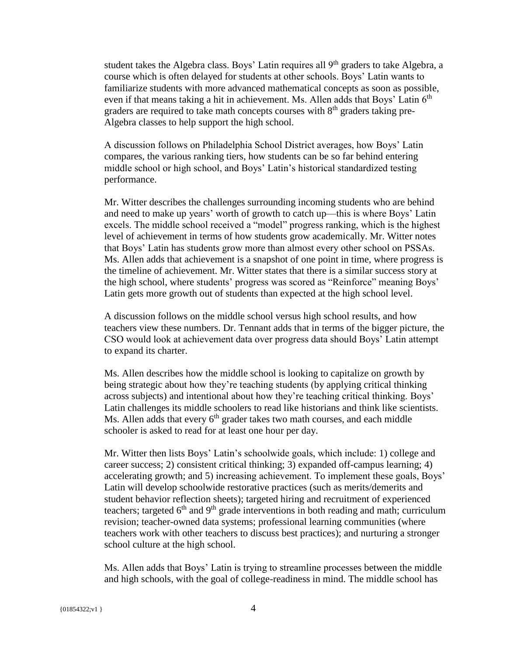student takes the Algebra class. Boys' Latin requires all 9<sup>th</sup> graders to take Algebra, a course which is often delayed for students at other schools. Boys' Latin wants to familiarize students with more advanced mathematical concepts as soon as possible, even if that means taking a hit in achievement. Ms. Allen adds that Boys' Latin  $6<sup>th</sup>$ graders are required to take math concepts courses with  $8<sup>th</sup>$  graders taking pre-Algebra classes to help support the high school.

A discussion follows on Philadelphia School District averages, how Boys' Latin compares, the various ranking tiers, how students can be so far behind entering middle school or high school, and Boys' Latin's historical standardized testing performance.

Mr. Witter describes the challenges surrounding incoming students who are behind and need to make up years' worth of growth to catch up—this is where Boys' Latin excels. The middle school received a "model" progress ranking, which is the highest level of achievement in terms of how students grow academically. Mr. Witter notes that Boys' Latin has students grow more than almost every other school on PSSAs. Ms. Allen adds that achievement is a snapshot of one point in time, where progress is the timeline of achievement. Mr. Witter states that there is a similar success story at the high school, where students' progress was scored as "Reinforce" meaning Boys' Latin gets more growth out of students than expected at the high school level.

A discussion follows on the middle school versus high school results, and how teachers view these numbers. Dr. Tennant adds that in terms of the bigger picture, the CSO would look at achievement data over progress data should Boys' Latin attempt to expand its charter.

Ms. Allen describes how the middle school is looking to capitalize on growth by being strategic about how they're teaching students (by applying critical thinking across subjects) and intentional about how they're teaching critical thinking. Boys' Latin challenges its middle schoolers to read like historians and think like scientists. Ms. Allen adds that every  $6<sup>th</sup>$  grader takes two math courses, and each middle schooler is asked to read for at least one hour per day.

Mr. Witter then lists Boys' Latin's schoolwide goals, which include: 1) college and career success; 2) consistent critical thinking; 3) expanded off-campus learning; 4) accelerating growth; and 5) increasing achievement. To implement these goals, Boys' Latin will develop schoolwide restorative practices (such as merits/demerits and student behavior reflection sheets); targeted hiring and recruitment of experienced teachers; targeted  $6<sup>th</sup>$  and  $9<sup>th</sup>$  grade interventions in both reading and math; curriculum revision; teacher-owned data systems; professional learning communities (where teachers work with other teachers to discuss best practices); and nurturing a stronger school culture at the high school.

Ms. Allen adds that Boys' Latin is trying to streamline processes between the middle and high schools, with the goal of college-readiness in mind. The middle school has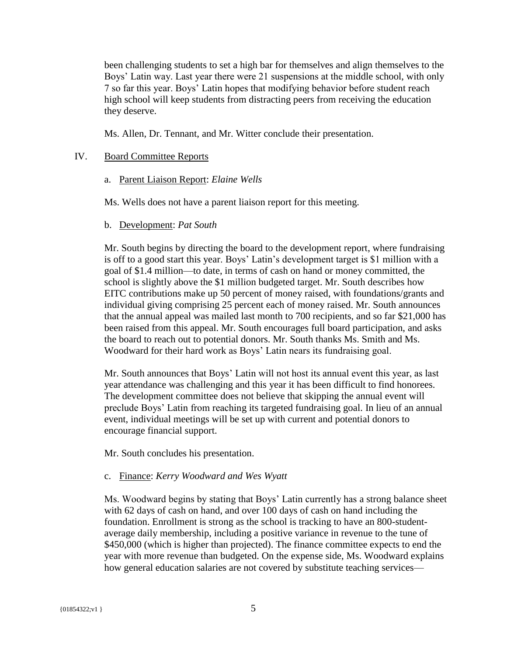been challenging students to set a high bar for themselves and align themselves to the Boys' Latin way. Last year there were 21 suspensions at the middle school, with only 7 so far this year. Boys' Latin hopes that modifying behavior before student reach high school will keep students from distracting peers from receiving the education they deserve.

Ms. Allen, Dr. Tennant, and Mr. Witter conclude their presentation.

### IV. Board Committee Reports

a. Parent Liaison Report: *Elaine Wells*

Ms. Wells does not have a parent liaison report for this meeting.

b. Development: *Pat South*

Mr. South begins by directing the board to the development report, where fundraising is off to a good start this year. Boys' Latin's development target is \$1 million with a goal of \$1.4 million—to date, in terms of cash on hand or money committed, the school is slightly above the \$1 million budgeted target. Mr. South describes how EITC contributions make up 50 percent of money raised, with foundations/grants and individual giving comprising 25 percent each of money raised. Mr. South announces that the annual appeal was mailed last month to 700 recipients, and so far \$21,000 has been raised from this appeal. Mr. South encourages full board participation, and asks the board to reach out to potential donors. Mr. South thanks Ms. Smith and Ms. Woodward for their hard work as Boys' Latin nears its fundraising goal.

Mr. South announces that Boys' Latin will not host its annual event this year, as last year attendance was challenging and this year it has been difficult to find honorees. The development committee does not believe that skipping the annual event will preclude Boys' Latin from reaching its targeted fundraising goal. In lieu of an annual event, individual meetings will be set up with current and potential donors to encourage financial support.

Mr. South concludes his presentation.

## c. Finance: *Kerry Woodward and Wes Wyatt*

Ms. Woodward begins by stating that Boys' Latin currently has a strong balance sheet with 62 days of cash on hand, and over 100 days of cash on hand including the foundation. Enrollment is strong as the school is tracking to have an 800-studentaverage daily membership, including a positive variance in revenue to the tune of \$450,000 (which is higher than projected). The finance committee expects to end the year with more revenue than budgeted. On the expense side, Ms. Woodward explains how general education salaries are not covered by substitute teaching services